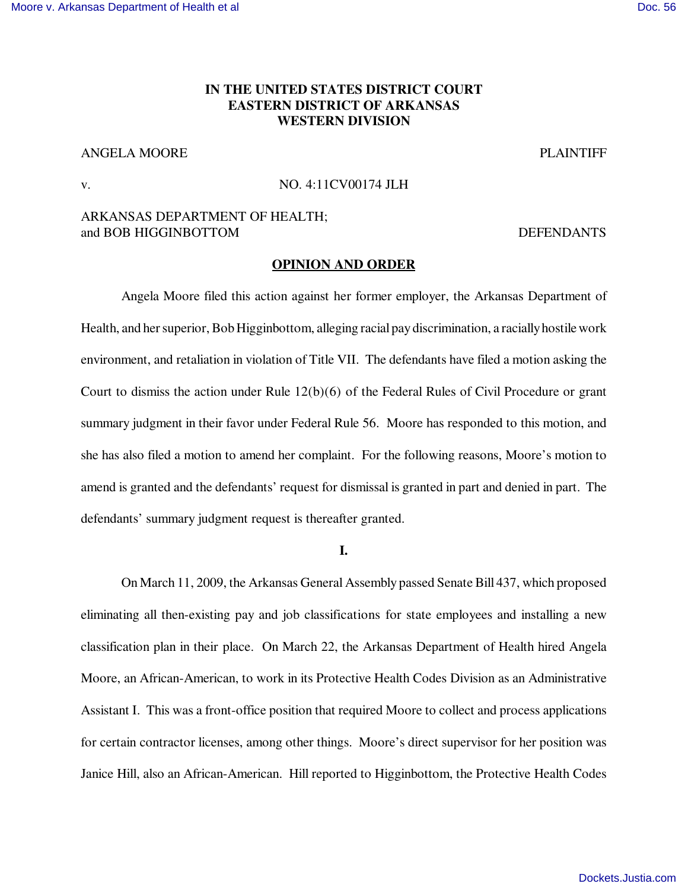## [Moore v. Arkansas Department of Health et al](http://dockets.justia.com/docket/arkansas/aredce/4:2011cv00174/85608/) **[Doc. 56](http://docs.justia.com/cases/federal/district-courts/arkansas/aredce/4:2011cv00174/85608/56/)** and Doc. 56

# **IN THE UNITED STATES DISTRICT COURT EASTERN DISTRICT OF ARKANSAS WESTERN DIVISION**

# ANGELA MOORE PLAINTIFF

## v. NO. 4:11CV00174 JLH

## ARKANSAS DEPARTMENT OF HEALTH; and BOB HIGGINBOTTOM DEFENDANTS

#### **OPINION AND ORDER**

Angela Moore filed this action against her former employer, the Arkansas Department of Health, and her superior, Bob Higginbottom, alleging racial pay discrimination, a racially hostile work environment, and retaliation in violation of Title VII. The defendants have filed a motion asking the Court to dismiss the action under Rule  $12(b)(6)$  of the Federal Rules of Civil Procedure or grant summary judgment in their favor under Federal Rule 56. Moore has responded to this motion, and she has also filed a motion to amend her complaint. For the following reasons, Moore's motion to amend is granted and the defendants' request for dismissal is granted in part and denied in part. The defendants' summary judgment request is thereafter granted.

**I.**

On March 11, 2009, the Arkansas General Assembly passed Senate Bill 437, which proposed eliminating all then-existing pay and job classifications for state employees and installing a new classification plan in their place. On March 22, the Arkansas Department of Health hired Angela Moore, an African-American, to work in its Protective Health Codes Division as an Administrative Assistant I. This was a front-office position that required Moore to collect and process applications for certain contractor licenses, among other things. Moore's direct supervisor for her position was Janice Hill, also an African-American. Hill reported to Higginbottom, the Protective Health Codes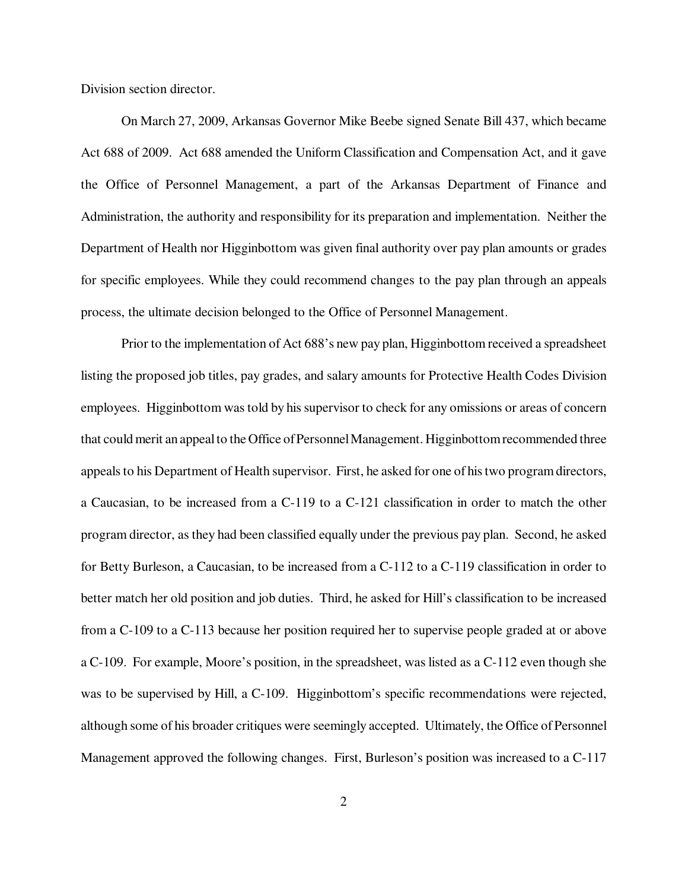Division section director.

On March 27, 2009, Arkansas Governor Mike Beebe signed Senate Bill 437, which became Act 688 of 2009. Act 688 amended the Uniform Classification and Compensation Act, and it gave the Office of Personnel Management, a part of the Arkansas Department of Finance and Administration, the authority and responsibility for its preparation and implementation. Neither the Department of Health nor Higginbottom was given final authority over pay plan amounts or grades for specific employees. While they could recommend changes to the pay plan through an appeals process, the ultimate decision belonged to the Office of Personnel Management.

Prior to the implementation of Act 688's new pay plan, Higginbottom received a spreadsheet listing the proposed job titles, pay grades, and salary amounts for Protective Health Codes Division employees. Higginbottom was told by his supervisor to check for any omissions or areas of concern that could merit an appeal to the Office of Personnel Management. Higginbottom recommended three appeals to his Department of Health supervisor. First, he asked for one of his two program directors, a Caucasian, to be increased from a C-119 to a C-121 classification in order to match the other program director, as they had been classified equally under the previous pay plan. Second, he asked for Betty Burleson, a Caucasian, to be increased from a C-112 to a C-119 classification in order to better match her old position and job duties. Third, he asked for Hill's classification to be increased from a C-109 to a C-113 because her position required her to supervise people graded at or above a C-109. For example, Moore's position, in the spreadsheet, was listed as a C-112 even though she was to be supervised by Hill, a C-109. Higginbottom's specific recommendations were rejected, although some of his broader critiques were seemingly accepted. Ultimately, the Office of Personnel Management approved the following changes. First, Burleson's position was increased to a C-117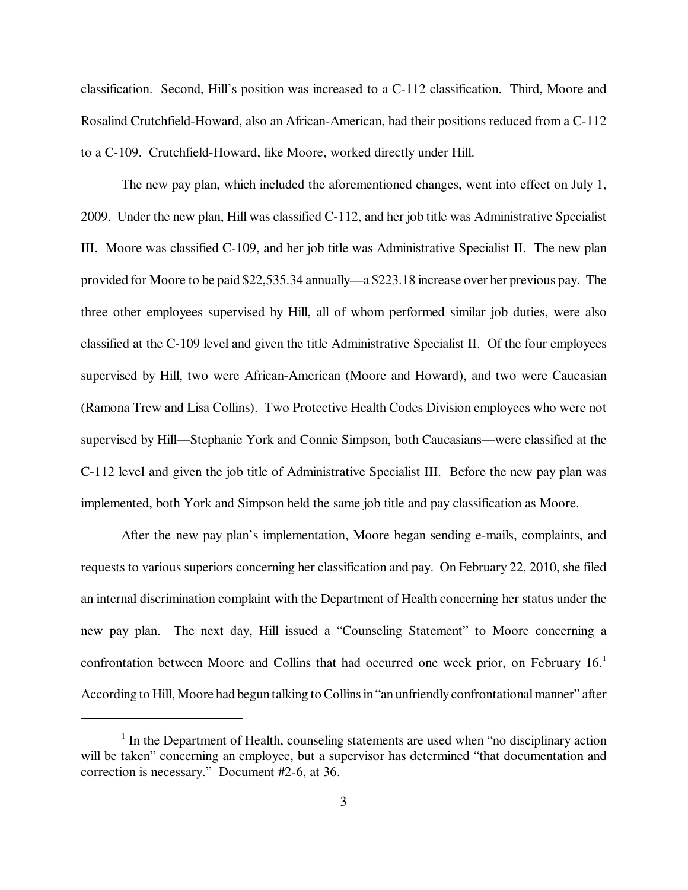classification. Second, Hill's position was increased to a C-112 classification. Third, Moore and Rosalind Crutchfield-Howard, also an African-American, had their positions reduced from a C-112 to a C-109. Crutchfield-Howard, like Moore, worked directly under Hill.

The new pay plan, which included the aforementioned changes, went into effect on July 1, 2009. Under the new plan, Hill was classified C-112, and her job title was Administrative Specialist III. Moore was classified C-109, and her job title was Administrative Specialist II. The new plan provided for Moore to be paid \$22,535.34 annually—a \$223.18 increase over her previous pay. The three other employees supervised by Hill, all of whom performed similar job duties, were also classified at the C-109 level and given the title Administrative Specialist II. Of the four employees supervised by Hill, two were African-American (Moore and Howard), and two were Caucasian (Ramona Trew and Lisa Collins). Two Protective Health Codes Division employees who were not supervised by Hill—Stephanie York and Connie Simpson, both Caucasians—were classified at the C-112 level and given the job title of Administrative Specialist III. Before the new pay plan was implemented, both York and Simpson held the same job title and pay classification as Moore.

After the new pay plan's implementation, Moore began sending e-mails, complaints, and requests to various superiors concerning her classification and pay. On February 22, 2010, she filed an internal discrimination complaint with the Department of Health concerning her status under the new pay plan. The next day, Hill issued a "Counseling Statement" to Moore concerning a confrontation between Moore and Collins that had occurred one week prior, on February 16.<sup>1</sup> According to Hill, Moore had begun talking to Collins in "an unfriendly confrontational manner" after

<sup>&</sup>lt;sup>1</sup> In the Department of Health, counseling statements are used when "no disciplinary action will be taken" concerning an employee, but a supervisor has determined "that documentation and correction is necessary." Document #2-6, at 36.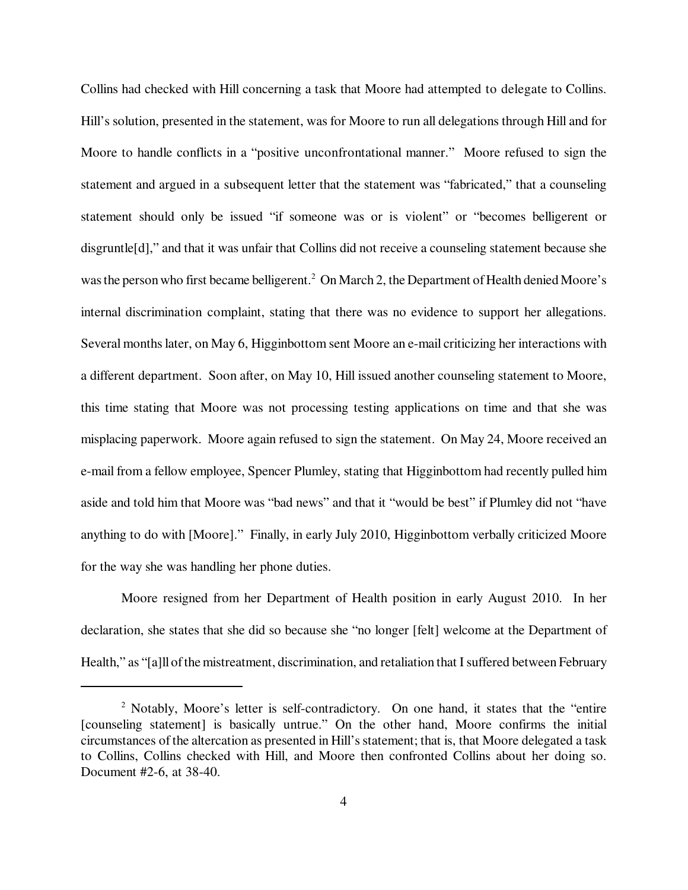Collins had checked with Hill concerning a task that Moore had attempted to delegate to Collins. Hill's solution, presented in the statement, was for Moore to run all delegations through Hill and for Moore to handle conflicts in a "positive unconfrontational manner." Moore refused to sign the statement and argued in a subsequent letter that the statement was "fabricated," that a counseling statement should only be issued "if someone was or is violent" or "becomes belligerent or disgruntle[d]," and that it was unfair that Collins did not receive a counseling statement because she was the person who first became belligerent.<sup>2</sup> On March 2, the Department of Health denied Moore's internal discrimination complaint, stating that there was no evidence to support her allegations. Several months later, on May 6, Higginbottom sent Moore an e-mail criticizing her interactions with a different department. Soon after, on May 10, Hill issued another counseling statement to Moore, this time stating that Moore was not processing testing applications on time and that she was misplacing paperwork. Moore again refused to sign the statement. On May 24, Moore received an e-mail from a fellow employee, Spencer Plumley, stating that Higginbottom had recently pulled him aside and told him that Moore was "bad news" and that it "would be best" if Plumley did not "have anything to do with [Moore]." Finally, in early July 2010, Higginbottom verbally criticized Moore for the way she was handling her phone duties.

Moore resigned from her Department of Health position in early August 2010. In her declaration, she states that she did so because she "no longer [felt] welcome at the Department of Health," as "[a]ll of the mistreatment, discrimination, and retaliation that I suffered between February

<sup>&</sup>lt;sup>2</sup> Notably, Moore's letter is self-contradictory. On one hand, it states that the "entire [counseling statement] is basically untrue." On the other hand, Moore confirms the initial circumstances of the altercation as presented in Hill's statement; that is, that Moore delegated a task to Collins, Collins checked with Hill, and Moore then confronted Collins about her doing so. Document #2-6, at 38-40.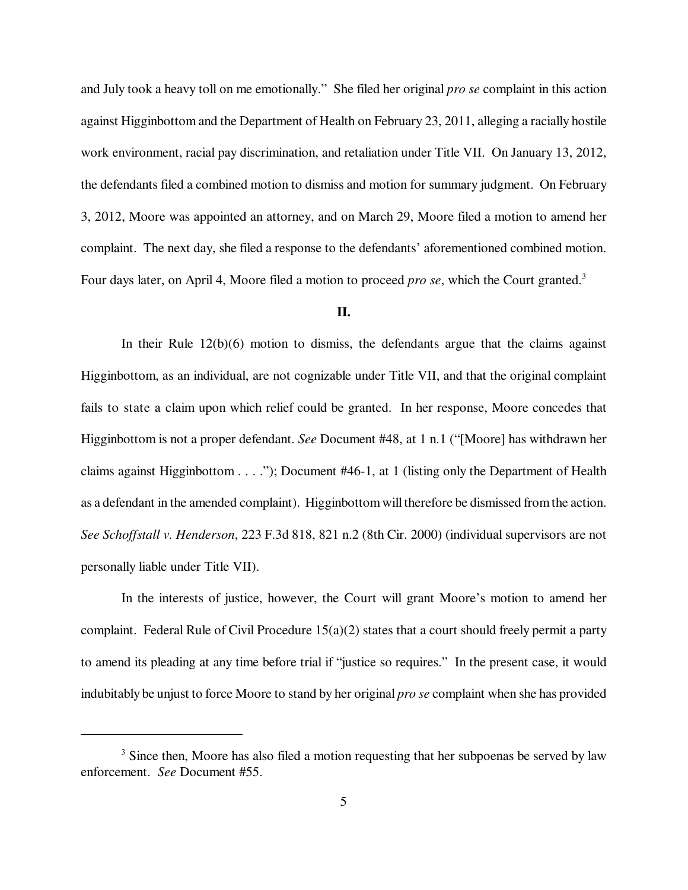and July took a heavy toll on me emotionally." She filed her original *pro se* complaint in this action against Higginbottom and the Department of Health on February 23, 2011, alleging a racially hostile work environment, racial pay discrimination, and retaliation under Title VII. On January 13, 2012, the defendants filed a combined motion to dismiss and motion for summary judgment. On February 3, 2012, Moore was appointed an attorney, and on March 29, Moore filed a motion to amend her complaint. The next day, she filed a response to the defendants' aforementioned combined motion. Four days later, on April 4, Moore filed a motion to proceed *pro se*, which the Court granted.<sup>3</sup>

## **II.**

In their Rule  $12(b)(6)$  motion to dismiss, the defendants argue that the claims against Higginbottom, as an individual, are not cognizable under Title VII, and that the original complaint fails to state a claim upon which relief could be granted. In her response, Moore concedes that Higginbottom is not a proper defendant. *See* Document #48, at 1 n.1 ("[Moore] has withdrawn her claims against Higginbottom  $\dots$  ."); Document #46-1, at 1 (listing only the Department of Health as a defendant in the amended complaint). Higginbottom will therefore be dismissed from the action. *See Schoffstall v. Henderson*, 223 F.3d 818, 821 n.2 (8th Cir. 2000) (individual supervisors are not personally liable under Title VII).

In the interests of justice, however, the Court will grant Moore's motion to amend her complaint. Federal Rule of Civil Procedure 15(a)(2) states that a court should freely permit a party to amend its pleading at any time before trial if "justice so requires." In the present case, it would indubitably be unjust to force Moore to stand by her original *pro se* complaint when she has provided

<sup>&</sup>lt;sup>3</sup> Since then, Moore has also filed a motion requesting that her subpoenas be served by law enforcement. *See* Document #55.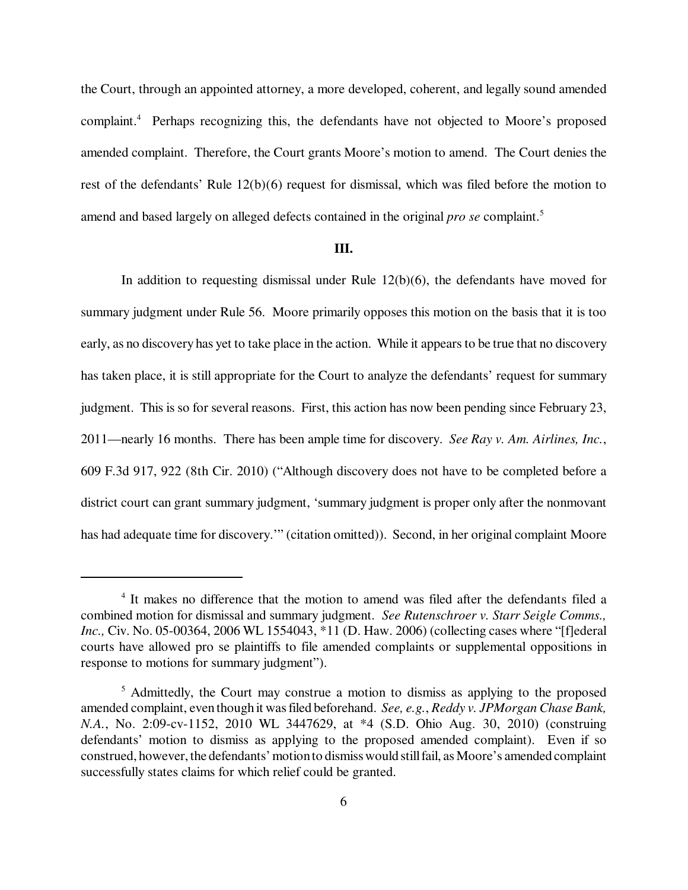the Court, through an appointed attorney, a more developed, coherent, and legally sound amended complaint.<sup>4</sup> Perhaps recognizing this, the defendants have not objected to Moore's proposed amended complaint. Therefore, the Court grants Moore's motion to amend. The Court denies the rest of the defendants' Rule 12(b)(6) request for dismissal, which was filed before the motion to amend and based largely on alleged defects contained in the original *pro se* complaint.<sup>5</sup>

## **III.**

In addition to requesting dismissal under Rule  $12(b)(6)$ , the defendants have moved for summary judgment under Rule 56. Moore primarily opposes this motion on the basis that it is too early, as no discovery has yet to take place in the action. While it appears to be true that no discovery has taken place, it is still appropriate for the Court to analyze the defendants' request for summary judgment. This is so for several reasons. First, this action has now been pending since February 23, 2011—nearly 16 months. There has been ample time for discovery. *See Ray v. Am. Airlines, Inc.*, 609 F.3d 917, 922 (8th Cir. 2010) ("Although discovery does not have to be completed before a district court can grant summary judgment, 'summary judgment is proper only after the nonmovant has had adequate time for discovery.'" (citation omitted)). Second, in her original complaint Moore

<sup>&</sup>lt;sup>4</sup> It makes no difference that the motion to amend was filed after the defendants filed a combined motion for dismissal and summary judgment. *See Rutenschroer v. Starr Seigle Comms., Inc., Civ. No.* 05-00364, 2006 WL 1554043, \*11 (D. Haw. 2006) (collecting cases where "[f]ederal courts have allowed pro se plaintiffs to file amended complaints or supplemental oppositions in response to motions for summary judgment").

<sup>&</sup>lt;sup>5</sup> Admittedly, the Court may construe a motion to dismiss as applying to the proposed amended complaint, even though it was filed beforehand. *See, e.g.*, *Reddy v. JPMorgan Chase Bank, N.A.*, No. 2:09-cv-1152, 2010 WL 3447629, at \*4 (S.D. Ohio Aug. 30, 2010) (construing defendants' motion to dismiss as applying to the proposed amended complaint). Even if so construed, however, the defendants' motion to dismiss would still fail, as Moore's amended complaint successfully states claims for which relief could be granted.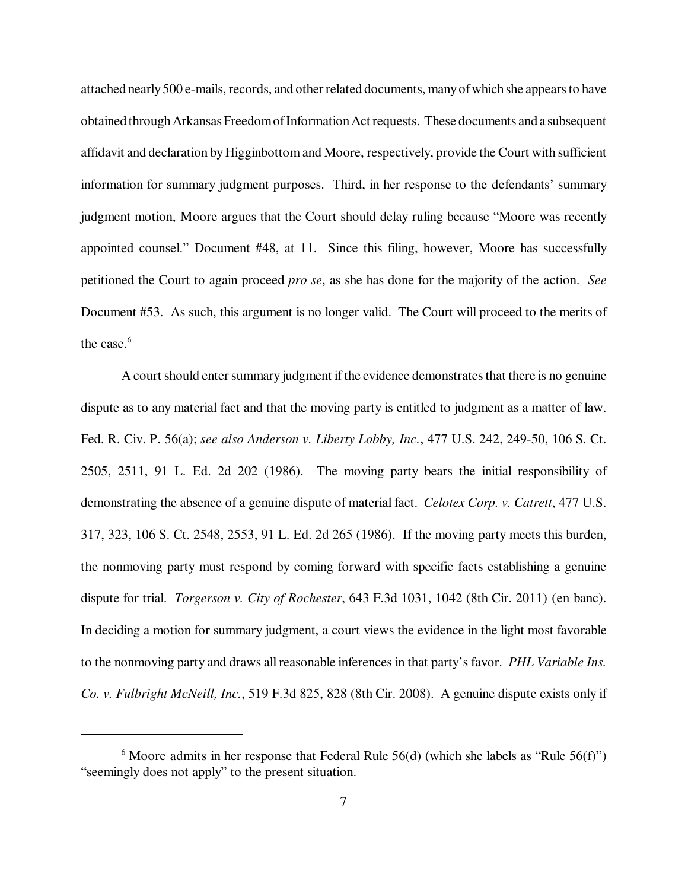attached nearly 500 e-mails, records, and other related documents, many of which she appears to have obtained through Arkansas Freedom of Information Act requests. These documents and a subsequent affidavit and declaration by Higginbottom and Moore, respectively, provide the Court with sufficient information for summary judgment purposes. Third, in her response to the defendants' summary judgment motion, Moore argues that the Court should delay ruling because "Moore was recently appointed counsel." Document #48, at 11. Since this filing, however, Moore has successfully petitioned the Court to again proceed *pro se*, as she has done for the majority of the action. *See* Document #53. As such, this argument is no longer valid. The Court will proceed to the merits of the case. $6$ 

A court should enter summary judgment if the evidence demonstrates that there is no genuine dispute as to any material fact and that the moving party is entitled to judgment as a matter of law. Fed. R. Civ. P. 56(a); *see also Anderson v. Liberty Lobby, Inc.*, 477 U.S. 242, 249-50, 106 S. Ct. 2505, 2511, 91 L. Ed. 2d 202 (1986). The moving party bears the initial responsibility of demonstrating the absence of a genuine dispute of material fact. *Celotex Corp. v. Catrett*, 477 U.S. 317, 323, 106 S. Ct. 2548, 2553, 91 L. Ed. 2d 265 (1986). If the moving party meets this burden, the nonmoving party must respond by coming forward with specific facts establishing a genuine dispute for trial. *Torgerson v. City of Rochester*, 643 F.3d 1031, 1042 (8th Cir. 2011) (en banc). In deciding a motion for summary judgment, a court views the evidence in the light most favorable to the nonmoving party and draws all reasonable inferences in that party's favor. *PHL Variable Ins. Co. v. Fulbright McNeill, Inc.*, 519 F.3d 825, 828 (8th Cir. 2008). A genuine dispute exists only if

 $6$  Moore admits in her response that Federal Rule 56(d) (which she labels as "Rule 56(f)") "seemingly does not apply" to the present situation.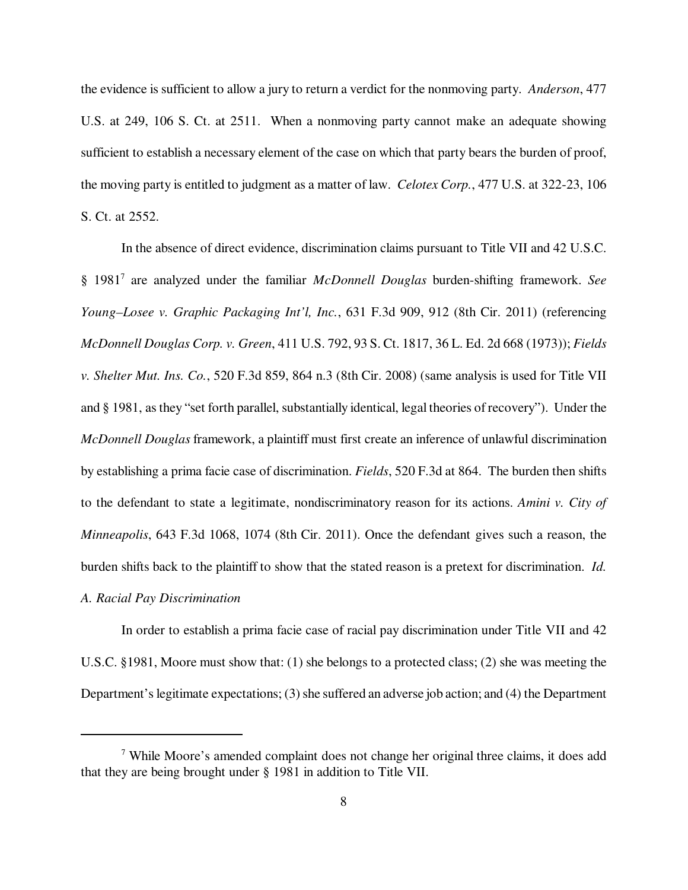the evidence is sufficient to allow a jury to return a verdict for the nonmoving party. *Anderson*, 477 U.S. at 249, 106 S. Ct. at 2511. When a nonmoving party cannot make an adequate showing sufficient to establish a necessary element of the case on which that party bears the burden of proof, the moving party is entitled to judgment as a matter of law. *Celotex Corp.*, 477 U.S. at 322-23, 106 S. Ct. at 2552.

In the absence of direct evidence, discrimination claims pursuant to Title VII and 42 U.S.C. § 1981<sup>7</sup> are analyzed under the familiar *McDonnell Douglas* burden-shifting framework. *See Young–Losee v. Graphic Packaging Int'l, Inc.*, 631 F.3d 909, 912 (8th Cir. 2011) (referencing *McDonnell Douglas Corp. v. Green*, 411 U.S. 792, 93 S. Ct. 1817, 36 L. Ed. 2d 668 (1973)); *Fields v. Shelter Mut. Ins. Co.*, 520 F.3d 859, 864 n.3 (8th Cir. 2008) (same analysis is used for Title VII and § 1981, as they "set forth parallel, substantially identical, legal theories of recovery"). Under the *McDonnell Douglas* framework, a plaintiff must first create an inference of unlawful discrimination by establishing a prima facie case of discrimination. *Fields*, 520 F.3d at 864. The burden then shifts to the defendant to state a legitimate, nondiscriminatory reason for its actions. *Amini v. City of Minneapolis*, 643 F.3d 1068, 1074 (8th Cir. 2011). Once the defendant gives such a reason, the burden shifts back to the plaintiff to show that the stated reason is a pretext for discrimination. *Id.* 

## *A. Racial Pay Discrimination*

In order to establish a prima facie case of racial pay discrimination under Title VII and 42 U.S.C. §1981, Moore must show that: (1) she belongs to a protected class; (2) she was meeting the Department's legitimate expectations; (3) she suffered an adverse job action; and (4) the Department

<sup>&</sup>lt;sup>7</sup> While Moore's amended complaint does not change her original three claims, it does add that they are being brought under § 1981 in addition to Title VII.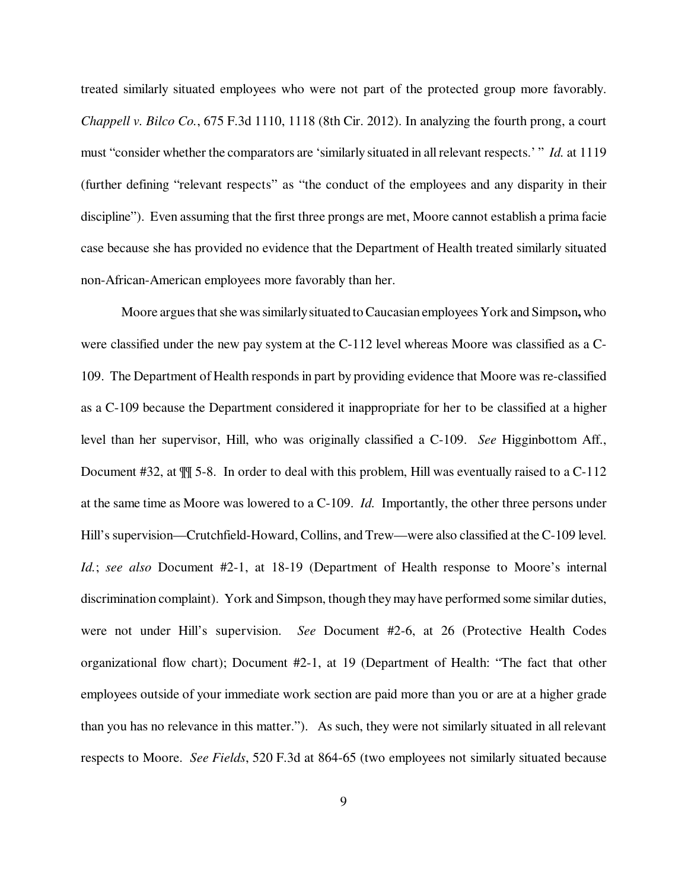treated similarly situated employees who were not part of the protected group more favorably. *Chappell v. Bilco Co.*, 675 F.3d 1110, 1118 (8th Cir. 2012). In analyzing the fourth prong, a court must "consider whether the comparators are 'similarly situated in all relevant respects.' " *Id.* at 1119 (further defining "relevant respects" as "the conduct of the employees and any disparity in their discipline"). Even assuming that the first three prongs are met, Moore cannot establish a prima facie case because she has provided no evidence that the Department of Health treated similarly situated non-African-American employees more favorably than her.

Moore argues that she was similarly situated to Caucasian employees York and Simpson**,** who were classified under the new pay system at the C-112 level whereas Moore was classified as a C-109. The Department of Health responds in part by providing evidence that Moore was re-classified as a C-109 because the Department considered it inappropriate for her to be classified at a higher level than her supervisor, Hill, who was originally classified a C-109. *See* Higginbottom Aff., Document #32, at ¶¶ 5-8. In order to deal with this problem, Hill was eventually raised to a C-112 at the same time as Moore was lowered to a C-109. *Id.* Importantly, the other three persons under Hill's supervision—Crutchfield-Howard, Collins, and Trew—were also classified at the C-109 level. *Id.*; *see also* Document #2-1, at 18-19 (Department of Health response to Moore's internal discrimination complaint). York and Simpson, though they may have performed some similar duties, were not under Hill's supervision. *See* Document #2-6, at 26 (Protective Health Codes organizational flow chart); Document #2-1, at 19 (Department of Health: "The fact that other employees outside of your immediate work section are paid more than you or are at a higher grade than you has no relevance in this matter."). As such, they were not similarly situated in all relevant respects to Moore. *See Fields*, 520 F.3d at 864-65 (two employees not similarly situated because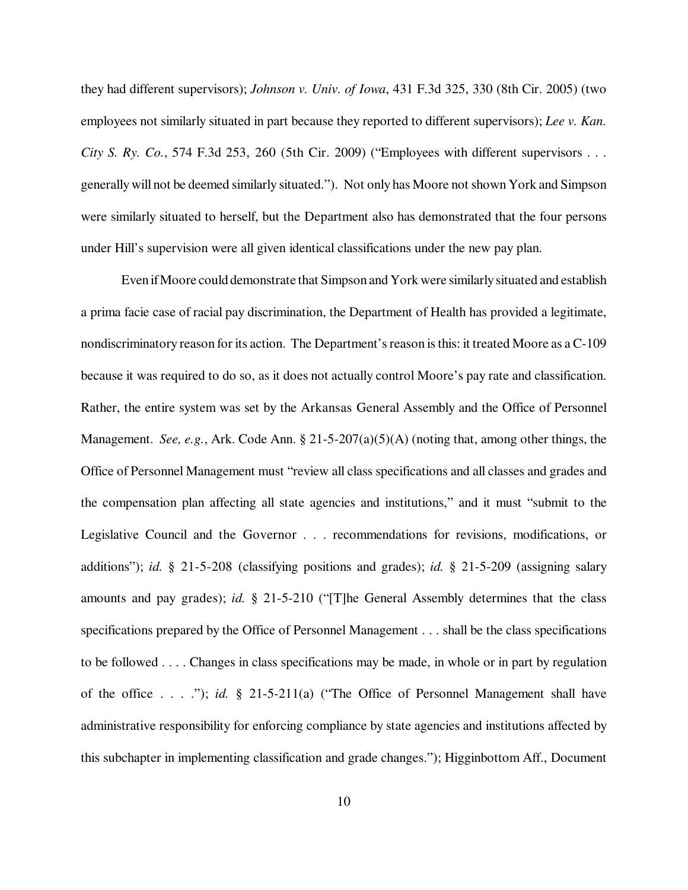they had different supervisors); *Johnson v. Univ. of Iowa*, 431 F.3d 325, 330 (8th Cir. 2005) (two employees not similarly situated in part because they reported to different supervisors); *Lee v. Kan. City S. Ry. Co.*, 574 F.3d 253, 260 (5th Cir. 2009) ("Employees with different supervisors . . . generally will not be deemed similarly situated."). Not only has Moore not shown York and Simpson were similarly situated to herself, but the Department also has demonstrated that the four persons under Hill's supervision were all given identical classifications under the new pay plan.

Even if Moore could demonstrate that Simpson and York were similarly situated and establish a prima facie case of racial pay discrimination, the Department of Health has provided a legitimate, nondiscriminatory reason for its action. The Department's reason is this: it treated Moore as a C-109 because it was required to do so, as it does not actually control Moore's pay rate and classification. Rather, the entire system was set by the Arkansas General Assembly and the Office of Personnel Management. *See, e.g.*, Ark. Code Ann. § 21-5-207(a)(5)(A) (noting that, among other things, the Office of Personnel Management must "review all class specifications and all classes and grades and the compensation plan affecting all state agencies and institutions," and it must "submit to the Legislative Council and the Governor . . . recommendations for revisions, modifications, or additions"); *id.* § 21-5-208 (classifying positions and grades); *id.* § 21-5-209 (assigning salary amounts and pay grades); *id.* § 21-5-210 ("[T]he General Assembly determines that the class specifications prepared by the Office of Personnel Management . . . shall be the class specifications to be followed . . . . Changes in class specifications may be made, in whole or in part by regulation of the office . . . ."); *id.* § 21-5-211(a) ("The Office of Personnel Management shall have administrative responsibility for enforcing compliance by state agencies and institutions affected by this subchapter in implementing classification and grade changes."); Higginbottom Aff., Document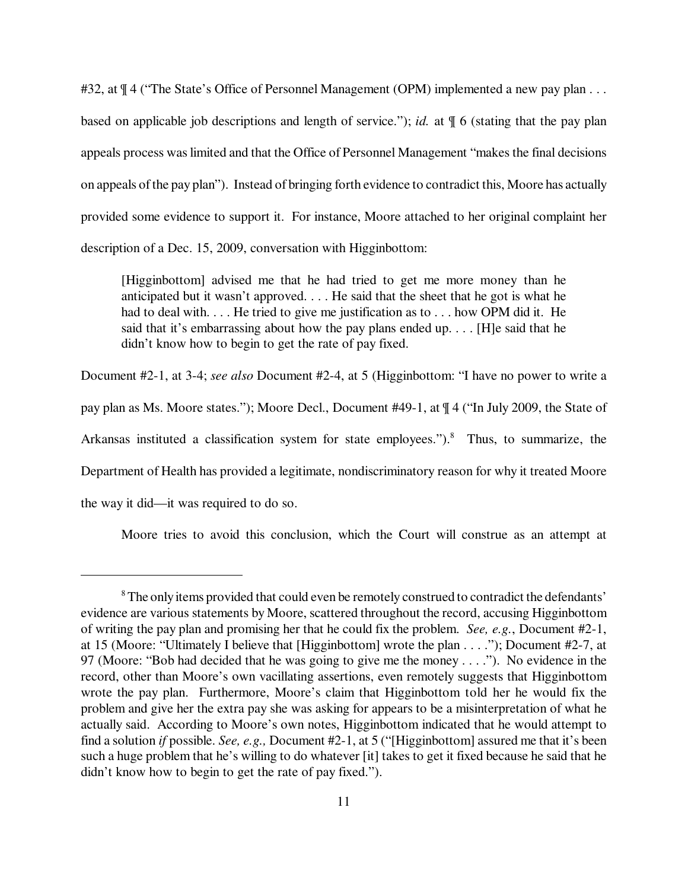#32, at  $\P$  4 ("The State's Office of Personnel Management (OPM) implemented a new pay plan . . . based on applicable job descriptions and length of service."); *id.* at ¶ 6 (stating that the pay plan appeals process was limited and that the Office of Personnel Management "makes the final decisions on appeals of the pay plan"). Instead of bringing forth evidence to contradict this, Moore has actually provided some evidence to support it. For instance, Moore attached to her original complaint her description of a Dec. 15, 2009, conversation with Higginbottom:

[Higginbottom] advised me that he had tried to get me more money than he anticipated but it wasn't approved. . . . He said that the sheet that he got is what he had to deal with. . . . He tried to give me justification as to . . . how OPM did it. He said that it's embarrassing about how the pay plans ended up. . . . [H]e said that he didn't know how to begin to get the rate of pay fixed.

Document #2-1, at 3-4; *see also* Document #2-4, at 5 (Higginbottom: "I have no power to write a pay plan as Ms. Moore states."); Moore Decl., Document #49-1, at ¶ 4 ("In July 2009, the State of Arkansas instituted a classification system for state employees.").<sup>8</sup> Thus, to summarize, the Department of Health has provided a legitimate, nondiscriminatory reason for why it treated Moore the way it did—it was required to do so.

Moore tries to avoid this conclusion, which the Court will construe as an attempt at

 $8$  The only items provided that could even be remotely construed to contradict the defendants' evidence are various statements by Moore, scattered throughout the record, accusing Higginbottom of writing the pay plan and promising her that he could fix the problem. *See, e.g.*, Document #2-1, at 15 (Moore: "Ultimately I believe that [Higginbottom] wrote the plan . . . ."); Document #2-7, at 97 (Moore: "Bob had decided that he was going to give me the money . . . ."). No evidence in the record, other than Moore's own vacillating assertions, even remotely suggests that Higginbottom wrote the pay plan. Furthermore, Moore's claim that Higginbottom told her he would fix the problem and give her the extra pay she was asking for appears to be a misinterpretation of what he actually said. According to Moore's own notes, Higginbottom indicated that he would attempt to find a solution *if* possible. *See, e.g.,* Document #2-1, at 5 ("[Higginbottom] assured me that it's been such a huge problem that he's willing to do whatever [it] takes to get it fixed because he said that he didn't know how to begin to get the rate of pay fixed.").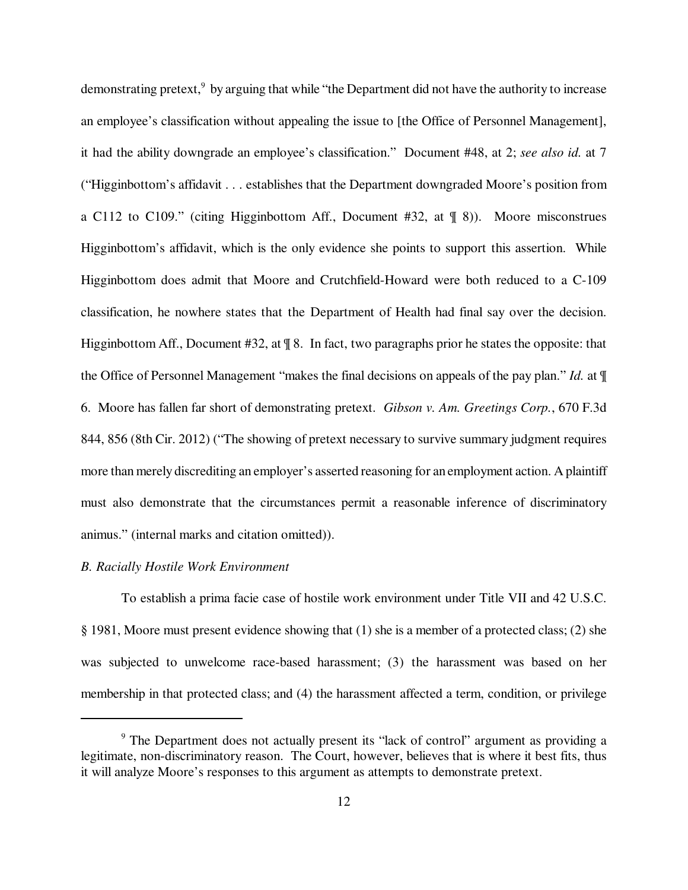demonstrating pretext,<sup>9</sup> by arguing that while "the Department did not have the authority to increase an employee's classification without appealing the issue to [the Office of Personnel Management], it had the ability downgrade an employee's classification." Document #48, at 2; *see also id.* at 7 ("Higginbottom's affidavit . . . establishes that the Department downgraded Moore's position from a C112 to C109." (citing Higginbottom Aff., Document #32, at ¶ 8)). Moore misconstrues Higginbottom's affidavit, which is the only evidence she points to support this assertion. While Higginbottom does admit that Moore and Crutchfield-Howard were both reduced to a C-109 classification, he nowhere states that the Department of Health had final say over the decision. Higginbottom Aff., Document #32, at  $\parallel$  8. In fact, two paragraphs prior he states the opposite: that the Office of Personnel Management "makes the final decisions on appeals of the pay plan." *Id.* at ¶ 6. Moore has fallen far short of demonstrating pretext. *Gibson v. Am. Greetings Corp.*, 670 F.3d 844, 856 (8th Cir. 2012) ("The showing of pretext necessary to survive summary judgment requires more than merely discrediting an employer's asserted reasoning for an employment action. A plaintiff must also demonstrate that the circumstances permit a reasonable inference of discriminatory animus." (internal marks and citation omitted)).

#### *B. Racially Hostile Work Environment*

To establish a prima facie case of hostile work environment under Title VII and 42 U.S.C. § 1981, Moore must present evidence showing that (1) she is a member of a protected class; (2) she was subjected to unwelcome race-based harassment; (3) the harassment was based on her membership in that protected class; and (4) the harassment affected a term, condition, or privilege

<sup>&</sup>lt;sup>9</sup> The Department does not actually present its "lack of control" argument as providing a legitimate, non-discriminatory reason. The Court, however, believes that is where it best fits, thus it will analyze Moore's responses to this argument as attempts to demonstrate pretext.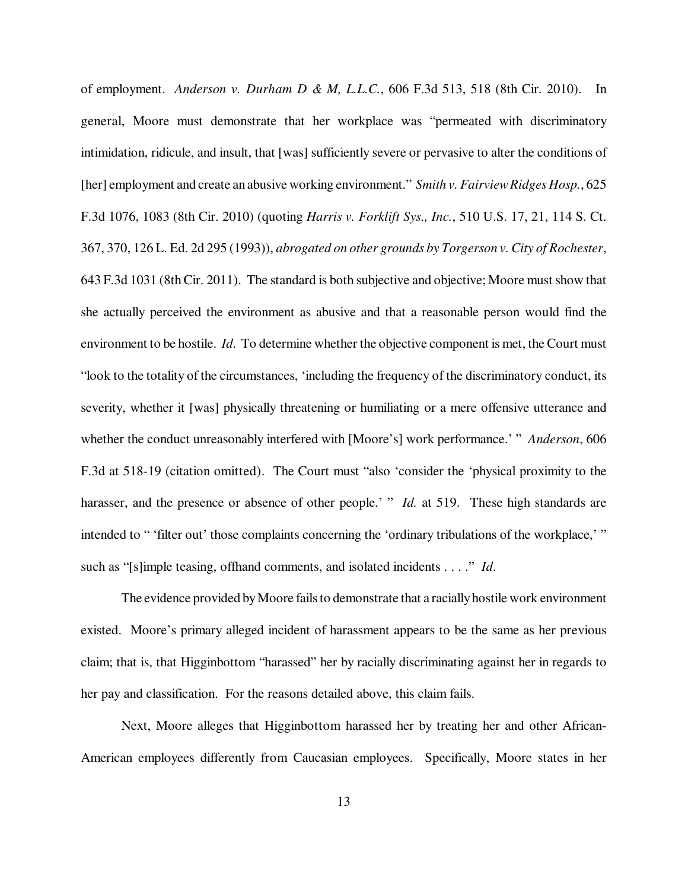of employment. *Anderson v. Durham D & M, L.L.C.*, 606 F.3d 513, 518 (8th Cir. 2010). In general, Moore must demonstrate that her workplace was "permeated with discriminatory intimidation, ridicule, and insult, that [was] sufficiently severe or pervasive to alter the conditions of [her] employment and create an abusive working environment." *Smith v. Fairview Ridges Hosp.*, 625 F.3d 1076, 1083 (8th Cir. 2010) (quoting *Harris v. Forklift Sys., Inc.*, 510 U.S. 17, 21, 114 S. Ct. 367, 370, 126 L. Ed. 2d 295 (1993)), *abrogated on other grounds by Torgerson v. City of Rochester*, 643 F.3d 1031 (8th Cir. 2011). The standard is both subjective and objective; Moore must show that she actually perceived the environment as abusive and that a reasonable person would find the environment to be hostile. *Id*. To determine whether the objective component is met, the Court must "look to the totality of the circumstances, 'including the frequency of the discriminatory conduct, its severity, whether it [was] physically threatening or humiliating or a mere offensive utterance and whether the conduct unreasonably interfered with [Moore's] work performance.' " *Anderson*, 606 F.3d at 518-19 (citation omitted). The Court must "also 'consider the 'physical proximity to the harasser, and the presence or absence of other people.' " *Id.* at 519. These high standards are intended to " 'filter out' those complaints concerning the 'ordinary tribulations of the workplace,' " such as "[s]imple teasing, offhand comments, and isolated incidents . . . ." *Id*.

The evidence provided by Moore fails to demonstrate that a racially hostile work environment existed. Moore's primary alleged incident of harassment appears to be the same as her previous claim; that is, that Higginbottom "harassed" her by racially discriminating against her in regards to her pay and classification. For the reasons detailed above, this claim fails.

Next, Moore alleges that Higginbottom harassed her by treating her and other African-American employees differently from Caucasian employees. Specifically, Moore states in her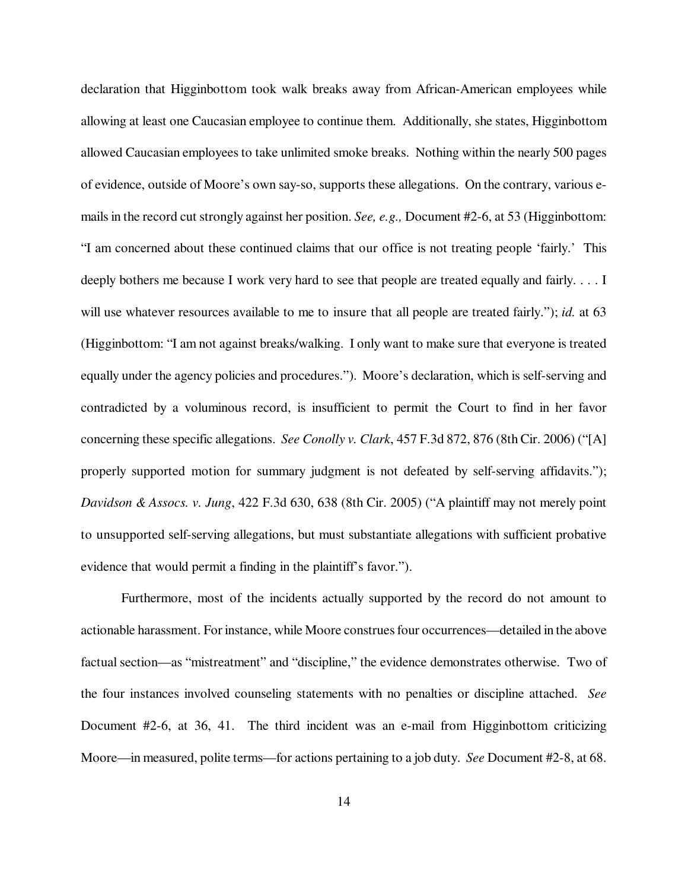declaration that Higginbottom took walk breaks away from African-American employees while allowing at least one Caucasian employee to continue them. Additionally, she states, Higginbottom allowed Caucasian employees to take unlimited smoke breaks. Nothing within the nearly 500 pages of evidence, outside of Moore's own say-so, supports these allegations. On the contrary, various emails in the record cut strongly against her position. *See, e.g.,* Document #2-6, at 53 (Higginbottom: "I am concerned about these continued claims that our office is not treating people 'fairly.' This deeply bothers me because I work very hard to see that people are treated equally and fairly. . . . I will use whatever resources available to me to insure that all people are treated fairly."); *id.* at 63 (Higginbottom: "I am not against breaks/walking. I only want to make sure that everyone is treated equally under the agency policies and procedures."). Moore's declaration, which is self-serving and contradicted by a voluminous record, is insufficient to permit the Court to find in her favor concerning these specific allegations. *See Conolly v. Clark*, 457 F.3d 872, 876 (8th Cir. 2006) ("[A] properly supported motion for summary judgment is not defeated by self-serving affidavits."); *Davidson & Assocs. v. Jung*, 422 F.3d 630, 638 (8th Cir. 2005) ("A plaintiff may not merely point to unsupported self-serving allegations, but must substantiate allegations with sufficient probative evidence that would permit a finding in the plaintiff's favor.").

Furthermore, most of the incidents actually supported by the record do not amount to actionable harassment. For instance, while Moore construes four occurrences—detailed in the above factual section—as "mistreatment" and "discipline," the evidence demonstrates otherwise. Two of the four instances involved counseling statements with no penalties or discipline attached. *See* Document #2-6, at 36, 41. The third incident was an e-mail from Higginbottom criticizing Moore—in measured, polite terms—for actions pertaining to a job duty. *See* Document #2-8, at 68.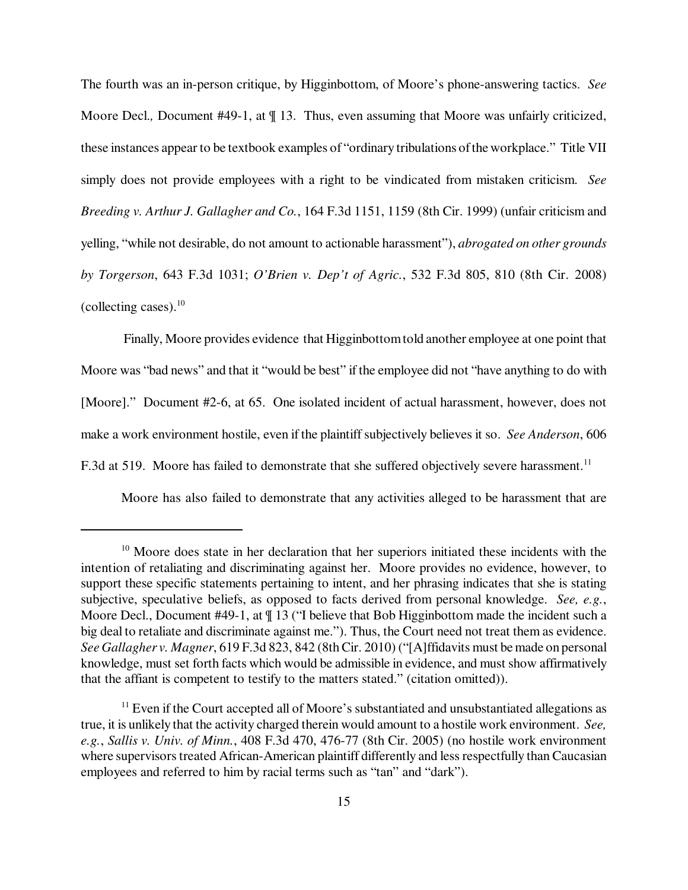The fourth was an in-person critique, by Higginbottom, of Moore's phone-answering tactics. *See* Moore Decl., Document #49-1, at  $\P$  13. Thus, even assuming that Moore was unfairly criticized, these instances appear to be textbook examples of "ordinary tribulations of the workplace." Title VII simply does not provide employees with a right to be vindicated from mistaken criticism. *See Breeding v. Arthur J. Gallagher and Co.*, 164 F.3d 1151, 1159 (8th Cir. 1999) (unfair criticism and yelling, "while not desirable, do not amount to actionable harassment"), *abrogated on other grounds by Torgerson*, 643 F.3d 1031; *O'Brien v. Dep't of Agric.*, 532 F.3d 805, 810 (8th Cir. 2008) (collecting cases). $10$ 

 Finally, Moore provides evidence that Higginbottom told another employee at one point that Moore was "bad news" and that it "would be best" if the employee did not "have anything to do with [Moore]." Document #2-6, at 65. One isolated incident of actual harassment, however, does not make a work environment hostile, even if the plaintiff subjectively believes it so. *See Anderson*, 606 F.3d at 519. Moore has failed to demonstrate that she suffered objectively severe harassment.<sup>11</sup>

Moore has also failed to demonstrate that any activities alleged to be harassment that are

 $10$  Moore does state in her declaration that her superiors initiated these incidents with the intention of retaliating and discriminating against her. Moore provides no evidence, however, to support these specific statements pertaining to intent, and her phrasing indicates that she is stating subjective, speculative beliefs, as opposed to facts derived from personal knowledge. *See, e.g.*, Moore Decl., Document #49-1, at  $\P$  13 ("I believe that Bob Higginbottom made the incident such a big deal to retaliate and discriminate against me."). Thus, the Court need not treat them as evidence. *See Gallagher v. Magner*, 619 F.3d 823, 842 (8th Cir. 2010) ("[A]ffidavits must be made on personal knowledge, must set forth facts which would be admissible in evidence, and must show affirmatively that the affiant is competent to testify to the matters stated." (citation omitted)).

 $11$  Even if the Court accepted all of Moore's substantiated and unsubstantiated allegations as true, it is unlikely that the activity charged therein would amount to a hostile work environment. *See, e.g.*, *Sallis v. Univ. of Minn.*, 408 F.3d 470, 476-77 (8th Cir. 2005) (no hostile work environment where supervisors treated African-American plaintiff differently and less respectfully than Caucasian employees and referred to him by racial terms such as "tan" and "dark").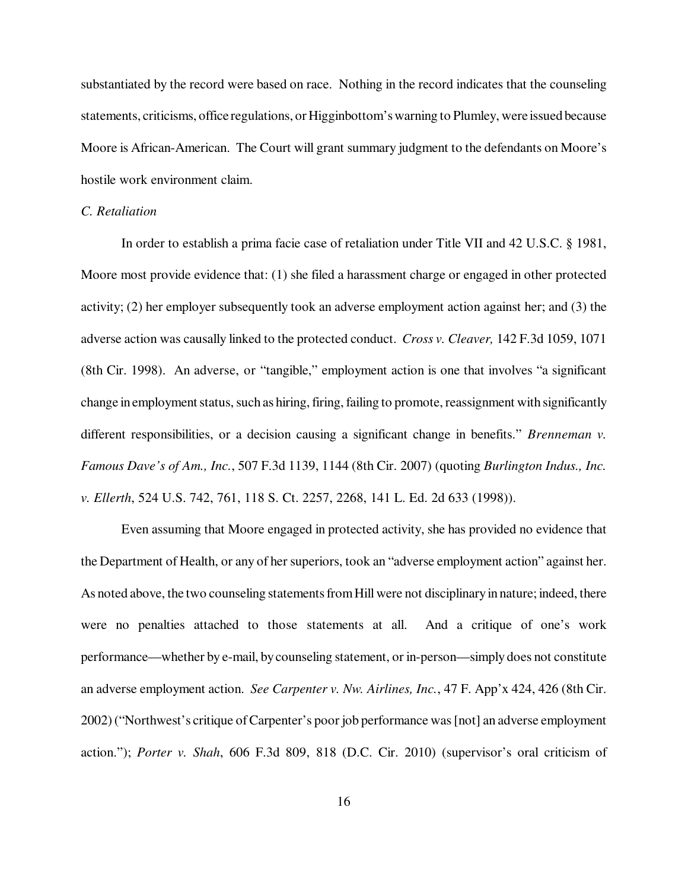substantiated by the record were based on race. Nothing in the record indicates that the counseling statements, criticisms, office regulations, or Higginbottom's warning to Plumley, were issued because Moore is African-American. The Court will grant summary judgment to the defendants on Moore's hostile work environment claim.

## *C. Retaliation*

In order to establish a prima facie case of retaliation under Title VII and 42 U.S.C. § 1981, Moore most provide evidence that: (1) she filed a harassment charge or engaged in other protected activity; (2) her employer subsequently took an adverse employment action against her; and (3) the adverse action was causally linked to the protected conduct. *Cross v. Cleaver,* 142 F.3d 1059, 1071 (8th Cir. 1998). An adverse, or "tangible," employment action is one that involves "a significant change in employment status, such as hiring, firing, failing to promote, reassignment with significantly different responsibilities, or a decision causing a significant change in benefits." *Brenneman v. Famous Dave's of Am., Inc.*, 507 F.3d 1139, 1144 (8th Cir. 2007) (quoting *Burlington Indus., Inc. v. Ellerth*, 524 U.S. 742, 761, 118 S. Ct. 2257, 2268, 141 L. Ed. 2d 633 (1998)).

Even assuming that Moore engaged in protected activity, she has provided no evidence that the Department of Health, or any of her superiors, took an "adverse employment action" against her. As noted above, the two counseling statements from Hill were not disciplinary in nature; indeed, there were no penalties attached to those statements at all. And a critique of one's work performance—whether by e-mail, by counseling statement, or in-person—simply does not constitute an adverse employment action. *See Carpenter v. Nw. Airlines, Inc.*, 47 F. App'x 424, 426 (8th Cir. 2002) ("Northwest's critique of Carpenter's poor job performance was [not] an adverse employment action."); *Porter v. Shah*, 606 F.3d 809, 818 (D.C. Cir. 2010) (supervisor's oral criticism of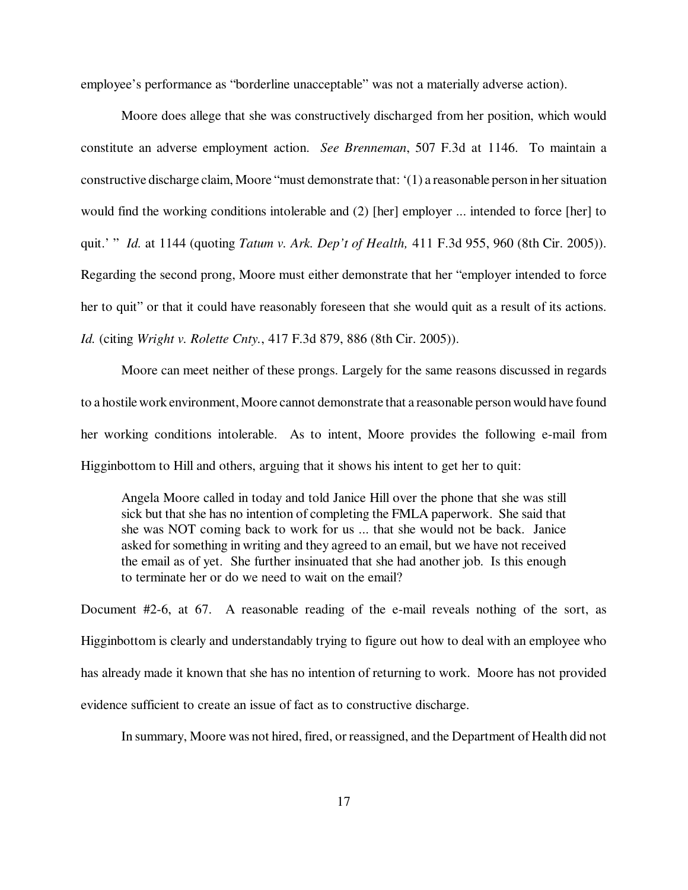employee's performance as "borderline unacceptable" was not a materially adverse action).

Moore does allege that she was constructively discharged from her position, which would constitute an adverse employment action. *See Brenneman*, 507 F.3d at 1146. To maintain a constructive discharge claim, Moore "must demonstrate that: '(1) a reasonable person in her situation would find the working conditions intolerable and (2) [her] employer ... intended to force [her] to quit.' " *Id.* at 1144 (quoting *Tatum v. Ark. Dep't of Health,* 411 F.3d 955, 960 (8th Cir. 2005)). Regarding the second prong, Moore must either demonstrate that her "employer intended to force her to quit" or that it could have reasonably foreseen that she would quit as a result of its actions. *Id.* (citing *Wright v. Rolette Cnty.*, 417 F.3d 879, 886 (8th Cir. 2005)).

Moore can meet neither of these prongs. Largely for the same reasons discussed in regards to a hostile work environment, Moore cannot demonstrate that a reasonable person would have found her working conditions intolerable. As to intent, Moore provides the following e-mail from Higginbottom to Hill and others, arguing that it shows his intent to get her to quit:

Angela Moore called in today and told Janice Hill over the phone that she was still sick but that she has no intention of completing the FMLA paperwork. She said that she was NOT coming back to work for us ... that she would not be back. Janice asked for something in writing and they agreed to an email, but we have not received the email as of yet. She further insinuated that she had another job. Is this enough to terminate her or do we need to wait on the email?

Document #2-6, at 67. A reasonable reading of the e-mail reveals nothing of the sort, as Higginbottom is clearly and understandably trying to figure out how to deal with an employee who has already made it known that she has no intention of returning to work. Moore has not provided evidence sufficient to create an issue of fact as to constructive discharge.

In summary, Moore was not hired, fired, or reassigned, and the Department of Health did not